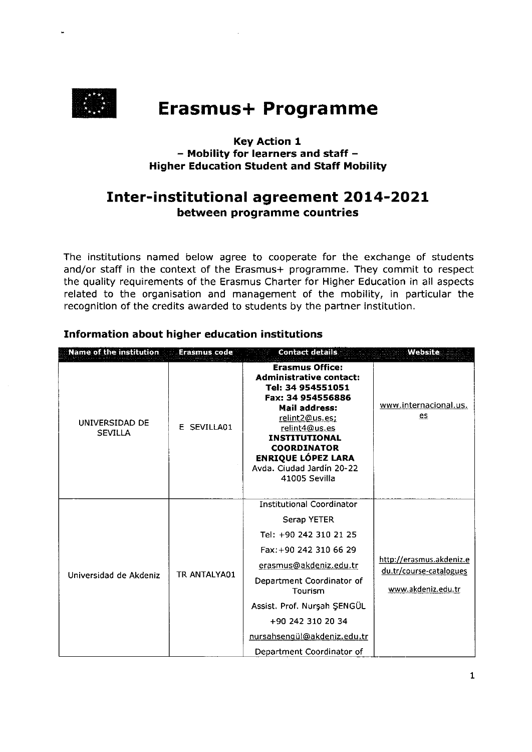

# **Erasmus+ Programme**

# **Key Action 1** - Mobility for learners and staff -**Higher Education Student and Staff Mobility**

# **Inter-institutional agreement 2014-2021** between programme countries

The institutions named below agree to cooperate for the exchange of students and/or staff in the context of the Erasmus+ programme. They commit to respect the quality requirements of the Erasmus Charter for Higher Education in all aspects related to the organisation and management of the mobility, in particular the recognition of the credits awarded to students by the partner institution.

| <b>Name of the institution</b>   | <b>Erasmus code</b> | <b>Contact details</b>                                                                                                                                                                                                                                                                       | Website                                                                   |
|----------------------------------|---------------------|----------------------------------------------------------------------------------------------------------------------------------------------------------------------------------------------------------------------------------------------------------------------------------------------|---------------------------------------------------------------------------|
| UNIVERSIDAD DE<br><b>SEVILLA</b> | E SEVILLA01         | <b>Erasmus Office:</b><br><b>Administrative contact:</b><br>Tel: 34 954551051<br>Fax: 34 954556886<br>Mail address:<br>relint2@us.es:<br>relint4@us.es<br><b>INSTITUTIONAL</b><br><b>COORDINATOR</b><br><b>ENRIQUE LÓPEZ LARA</b><br>Avda. Ciudad Jardín 20-22<br>41005 Sevilla              | www.internacional.us.<br>es                                               |
| Universidad de Akdeniz           | TR ANTALYA01        | <b>Institutional Coordinator</b><br>Serap YETER<br>Tel: +90 242 310 21 25<br>Fax: +90 242 310 66 29<br>erasmus@akdeniz.edu.tr<br>Department Coordinator of<br><b>Tourism</b><br>Assist. Prof. Nurşah ŞENGÜL<br>+90 242 310 20 34<br>nursahsengül@akdeniz.edu.tr<br>Department Coordinator of | http://erasmus.akdeniz.e<br>du.tr/course-catalogues<br>www.akdeniz.edu.tr |

# Information about higher education institutions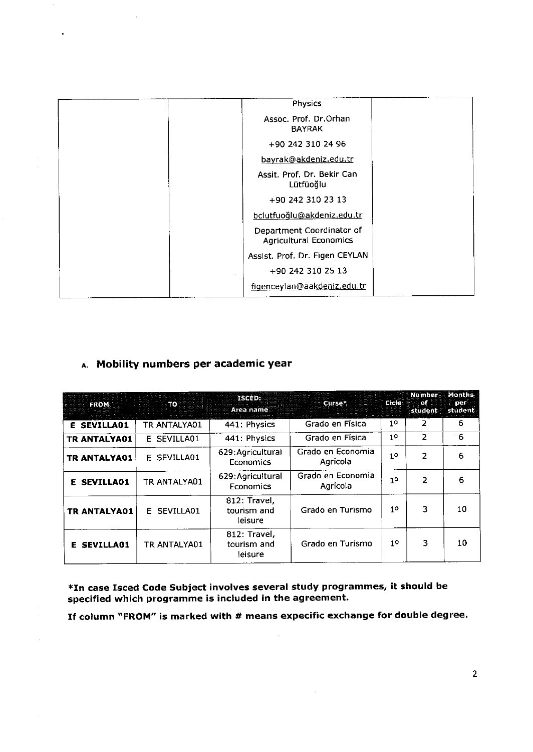| Physics                                                    |  |
|------------------------------------------------------------|--|
| Assoc. Prof. Dr.Orhan<br><b>BAYRAK</b>                     |  |
| +90 242 310 24 96                                          |  |
| bayrak@akdeniz.edu.tr                                      |  |
| Assit. Prof. Dr. Bekir Can<br>Lütfüoğlu                    |  |
| +90 242 310 23 13                                          |  |
| bclutfuoğlu@akdeniz.edu.tr                                 |  |
| Department Coordinator of<br><b>Agricultural Economics</b> |  |
| Assist. Prof. Dr. Figen CEYLAN                             |  |
| +90 242 310 25 13                                          |  |
| figenceylan@aakdeniz.edu.tr                                |  |

# A. Mobility numbers per academic year

 $\bar{u}$ 

| <b>FROM</b>         | . то         | ISCED:<br>Area name                    | Curse*                        | <b>Cicle</b> | <b>Number</b><br>∴ of ∶ | Months<br>per<br>student student |
|---------------------|--------------|----------------------------------------|-------------------------------|--------------|-------------------------|----------------------------------|
| <b>E SEVILLA01</b>  | TR ANTALYA01 | 441: Physics                           | Grado en Física               | $1^{\circ}$  | 2                       | 6                                |
| <b>TR ANTALYA01</b> | E SEVILLA01  | 441: Physics                           | Grado en Física               | 10           | $\overline{2}$          | $-6$                             |
| TR ANTALYA01        | E SEVILLA01  | 629: Agricultural<br>Economics         | Grado en Economia<br>Agrícola | 10           | 2                       | 6                                |
| <b>E SEVILLA01</b>  | TR ANTALYA01 | 629: Agricultural<br>Economics         | Grado en Economia<br>Agrícola | 10           | 2                       | 6                                |
| <b>TR ANTALYA01</b> | E SEVILLA01  | 812: Travel,<br>tourism and<br>leisure | Grado en Turismo              | 10           | 3                       | 10                               |
| <b>E SEVILLA01</b>  | TR ANTALYA01 | 812. Travel.<br>tourism and<br>leisure | Grado en Turismo              | 10           | 3                       | 10                               |

\*In case Isced Code Subject involves several study programmes, it should be specified which programme is included in the agreement.

If column'FROM" is marked with # means expecific exchange for double degree.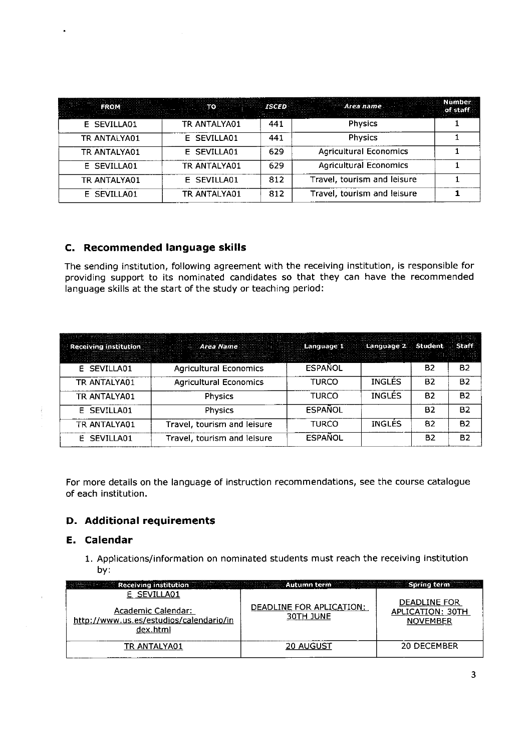| ER TO NEW    |              | <b>ISCED</b> | Area name                     | Number<br>of staff |
|--------------|--------------|--------------|-------------------------------|--------------------|
| E SEVILLA01  | TR ANTALYA01 | 441          | <b>Physics</b>                |                    |
| TR ANTALYA01 | E SEVILLA01  | 441          | <b>Physics</b>                |                    |
| TR ANTALYA01 | E SEVILLA01  | 629          | <b>Agricultural Economics</b> |                    |
| E SEVILLA01  | TR ANTALYA01 | 629          | <b>Agricultural Economics</b> |                    |
| TR ANTALYA01 | E SEVILLA01  | 812          | Travel, tourism and leisure   |                    |
| E SEVILLA01  | TR ANTALYA01 | 812          | Travel, tourism and leisure   |                    |

### c. Recommended language skills

The sending institution, following agreement with the receiving institution, is responsible for providing support to its nominated candidates so that they can have the recommended language skills at the start of the study or teaching period:

| <b>Receiving institution</b> | Area Name                     | Language 1     | Language 2 Student Staff |           |           |
|------------------------------|-------------------------------|----------------|--------------------------|-----------|-----------|
| E SEVILLA01                  | <b>Agricultural Economics</b> | <b>ESPANOL</b> |                          | B2        | <b>B2</b> |
| TR ANTALYA01                 | <b>Agricultural Economics</b> | <b>TURCO</b>   | <b>INGLES</b>            | <b>B2</b> | <b>B2</b> |
| TR ANTALYA01                 | <b>Physics</b>                | <b>TURCO</b>   | <b>INGLES</b>            | <b>B2</b> | <b>B2</b> |
| E SEVILLA01                  | <b>Physics</b>                | <b>ESPAÑOL</b> |                          | <b>B2</b> | <b>B2</b> |
| TR ANTALYA01                 | Travel, tourism and leisure   | <b>TURCO</b>   | <b>INGLÉS</b>            | 82        | <b>B2</b> |
| E SEVILLA01                  | Travel, tourism and leisure   | <b>ESPAÑOL</b> |                          | <b>B2</b> | <b>B2</b> |

For more details on the language of instruction recommendations, see the course catalogue of each institution.

# D. Additional requirements

### E. Calendar

1. Applications/information on nominated students must reach the receiving institution bv:

| E SEVILLA01<br>Academic Calendar:<br>http://www.us.es/estudios/calendario/in<br>dex.html | DEADLINE FOR APLICATION:<br>30TH JUNE | DEADLINE FOR<br>APLICATION: 30TH<br><b>NOVEMBER</b> |
|------------------------------------------------------------------------------------------|---------------------------------------|-----------------------------------------------------|
| TR ANTALYA01                                                                             | <b>20 AUGUST</b>                      | 20 DECEMBER                                         |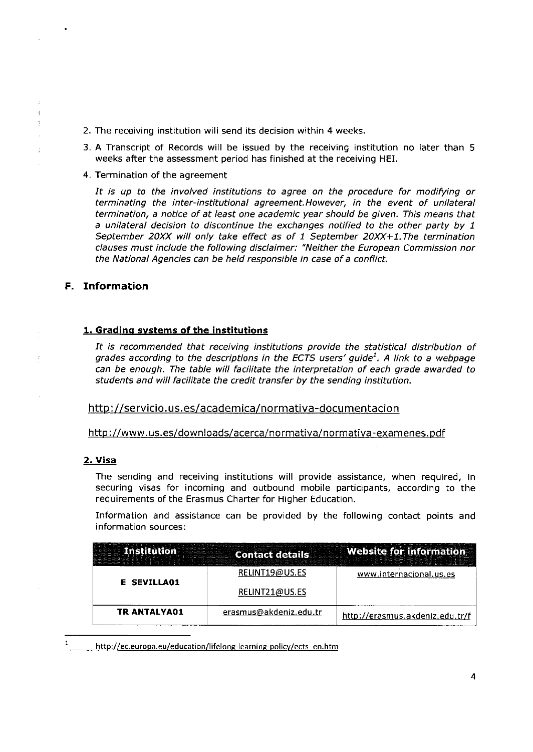- 2. The receiving institution will send its decision within 4 weeks.
- 3. A Transcript of Records will be issued by the receiving institution no later than <sup>5</sup> weeks after the assessment period has finished at the receiving HEI.
- 4. Termination of the agreement

It is up to the involved institutions to agree on the procedure for modifying or terminating the inter-institutional agreement. However, in the event of unilateral termination, a notice of at least one academic year should be given, This means that a unilateral decision to discontinue the exchanges notified to the other party by <sup>1</sup> September 20XX will only take effect as of 1 September 20XX+1. The termination clauses must include the following disclaimer: "Neither the European Commission nor the National Agencies can be held responsible in case of a conflict.

#### F. Information

#### 1. Gradino svstems of the institutions

It is recommended that receiving institutions provide the statistical distribution of grades according to the descriptions in the ECTS users' guide<sup>1</sup>. A link to a webpage can be enough. The table will facilitate the interpretation of each grade awarded to students and will facilitate the credit transfer by the sending institution.

http://servicio.us.es/academica/normativa-documentacion

http ://www. us. es/down loads/acerca/no rmativa/normativa -examenes. pdf

#### 2. Visa

The sending and receiving institutions will provide assistance, when required, in securing visas for incoming and outbound mobile participants. according to the requirements of the Erasmus Charter for Higher Education.

Information and assistance can be provided by the following contact points and information sources:

|                     | <b>Contact detai</b>   | te for information.             |
|---------------------|------------------------|---------------------------------|
| E SEVILLAO1         | RELINT19@US.ES         | www.internacional.us.es         |
|                     | RELINT21@US.ES         |                                 |
| <b>TR ANTALYA01</b> | erasmus@akdeniz.edu.tr | http://erasmus.akdeniz.edu.tr/f |

http://ec.europa.eu/education/lifelong-learning-policy/ects en.htm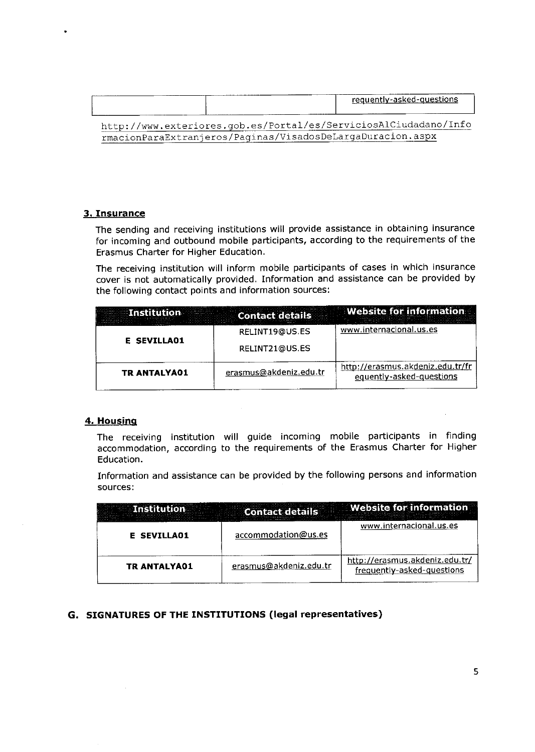|                                                            | requently-asked-questions                                        |
|------------------------------------------------------------|------------------------------------------------------------------|
|                                                            | http://www.exteriores.gob.es/Portal/es/ServiciosAlCiudadano/Info |
| rmacionParaExtranjeros/Paginas/VisadosDeLargaDuracion.aspx |                                                                  |

#### 3. Insurance

The sending and receiving institutions will provide assistance in obtaining insurance for incoming and outbound mobile participants, according to the requirements of the Erasmus Charter for Higher Education.

The receiving institution will inform mobile participants of cases in which insurance cover is not automatically provided. Information and assistance can be provided by the following contact points and information sources:

|                     | <b>Contact det.</b><br> | ebsite for information                                       |
|---------------------|-------------------------|--------------------------------------------------------------|
| <b>E SEVILLA01</b>  | RELINT19@US.ES          | www.internacional.us.es                                      |
|                     | RELINT21@US.ES          |                                                              |
| <b>TR ANTALYA01</b> | erasmus@akdeniz.edu.tr  | http://erasmus.akdeniz.edu.tr/fr<br>equently-asked-questions |

#### 4. Housing

The receiving institution will guide incoming mobile participants in finding accommodation, according to the requirements of the Erasmus Charter for Higher Education.

Information and assistance can be provided by the following persons and information sources:

|                     |                        | <b>Website for information</b>                               |
|---------------------|------------------------|--------------------------------------------------------------|
| <b>E SEVILLAO1</b>  | accommodation@us.es    | www.internacional.us.es                                      |
| <b>TR ANTALYA01</b> | erasmus@akdeniz.edu.tr | http://erasmus.akdeniz.edu.tr/<br>frequently-asked-questions |

#### G. SIGNATURES OF THE INSTITUTIONS (legal representatives)